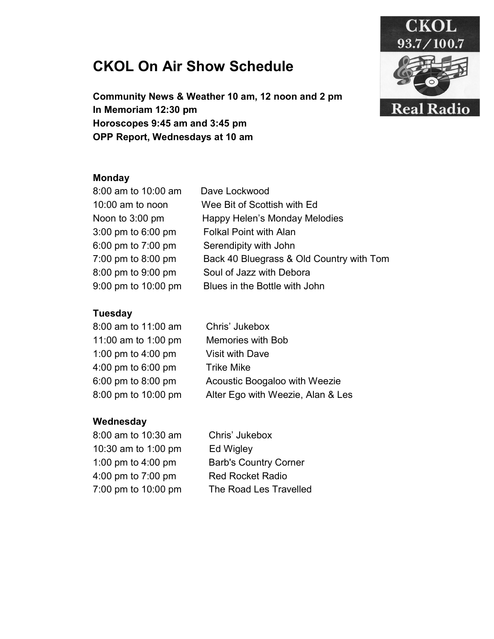# CKOL On Air Show Schedule





## Monday

| 8:00 am to 10:00 am | Dave Lockwood                            |
|---------------------|------------------------------------------|
| 10:00 am to noon    | Wee Bit of Scottish with Ed              |
| Noon to 3:00 pm     | Happy Helen's Monday Melodies            |
| 3:00 pm to 6:00 pm  | <b>Folkal Point with Alan</b>            |
| 6:00 pm to 7:00 pm  | Serendipity with John                    |
| 7:00 pm to 8:00 pm  | Back 40 Bluegrass & Old Country with Tom |
| 8:00 pm to 9:00 pm  | Soul of Jazz with Debora                 |
| 9:00 pm to 10:00 pm | Blues in the Bottle with John            |

## **Tuesday**

| 8:00 am to 11:00 am | Chris' Jukebox                    |
|---------------------|-----------------------------------|
| 11:00 am to 1:00 pm | <b>Memories with Bob</b>          |
| 1:00 pm to 4:00 pm  | <b>Visit with Dave</b>            |
| 4:00 pm to 6:00 pm  | <b>Trike Mike</b>                 |
| 6:00 pm to 8:00 pm  | Acoustic Boogaloo with Weezie     |
| 8:00 pm to 10:00 pm | Alter Ego with Weezie, Alan & Les |
|                     |                                   |

## **Wednesday**

8:00 am to 10:30 am 10:30 am to 1:00 pm 1:00 pm to 4:00 pm 4:00 pm to 7:00 pm 7:00 pm to 10:00 pm  Chris' Jukebox Ed Wigley Barb's Country Corner Red Rocket Radio The Road Les Travelled